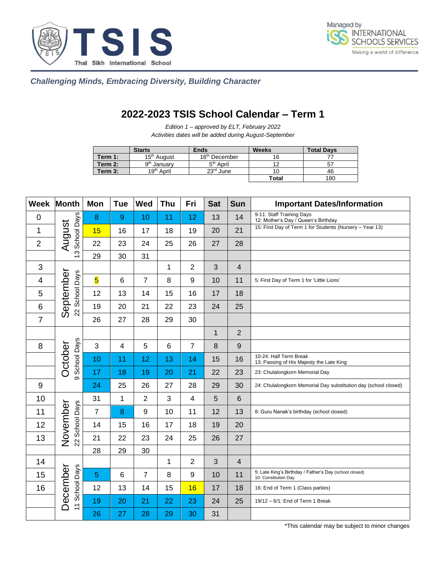



 *Challenging Minds, Embracing Diversity, Building Character*

## **2022-2023 TSIS School Calendar – Term 1**

*Edition 1 – approved by ELT, February 2022 Activities dates will be added during August-September*

|         | <b>Starts</b>           | <b>Ends</b>               | <b>Weeks</b> | <b>Total Days</b> |
|---------|-------------------------|---------------------------|--------------|-------------------|
| Term 1: | 15 <sup>th</sup> August | 16 <sup>th</sup> December | 16           |                   |
| Term 2: | 9 <sup>th</sup> January | 5 <sup>th</sup> April     |              |                   |
| Term 3: | 19 <sup>th</sup> April  | $23rd$ June               | 10           | 46                |
|         |                         |                           | Total        | 180               |

| Week           | <b>Month</b>               | Mon                     | <b>Tue</b>     | <b>Wed</b>     | Thu | Fri              | <b>Sat</b>   | <b>Sun</b>      | <b>Important Dates/Information</b>                                             |
|----------------|----------------------------|-------------------------|----------------|----------------|-----|------------------|--------------|-----------------|--------------------------------------------------------------------------------|
| $\mathbf 0$    | School Days<br>August<br>ო | 8                       | $\overline{9}$ | 10             | 11  | 12               | 13           | 14              | 9-11: Staff Training Days<br>12: Mother's Day / Queen's Birthday               |
| 1              |                            | 15                      | 16             | 17             | 18  | 19               | 20           | 21              | 15: First Day of Term 1 for Students (Nursery - Year 13)                       |
| $\overline{2}$ |                            | 22                      | 23             | 24             | 25  | 26               | 27           | 28              |                                                                                |
|                |                            | 29                      | 30             | 31             |     |                  |              |                 |                                                                                |
| 3              |                            |                         |                |                | 1   | $\overline{2}$   | 3            | $\overline{4}$  |                                                                                |
| 4              |                            | $\overline{\mathbf{5}}$ | $\,6$          | $\overline{7}$ | 8   | $\boldsymbol{9}$ | 10           | 11              | 5: First Day of Term 1 for 'Little Lions'                                      |
| 5              | School Days                | 12                      | 13             | 14             | 15  | 16               | 17           | 18              |                                                                                |
| 6              | September<br>22            | 19                      | 20             | 21             | 22  | 23               | 24           | 25              |                                                                                |
| $\overline{7}$ |                            | 26                      | 27             | 28             | 29  | 30               |              |                 |                                                                                |
|                |                            |                         |                |                |     |                  | $\mathbf{1}$ | $\overline{2}$  |                                                                                |
| 8              |                            | 3                       | $\overline{4}$ | 5              | 6   | $\overline{7}$   | 8            | $9\,$           |                                                                                |
|                | School Days<br>October     | 10                      | 11             | 12             | 13  | 14               | 15           | 16              | 10-24: Half Term Break<br>13: Passing of His Majesty the Late King             |
|                | တ                          | 17                      | 18             | 19             | 20  | 21               | 22           | 23              | 23: Chulalongkorn Memorial Day                                                 |
| $9\,$          |                            | 24                      | 25             | 26             | 27  | 28               | 29           | 30              | 24: Chulalongkorn Memorial Day substitution day (school closed)                |
| 10             |                            | 31                      | $\mathbf{1}$   | $\overline{2}$ | 3   | 4                | 5            | $6\phantom{1}6$ |                                                                                |
| 11             |                            | $\overline{7}$          | 8              | 9              | 10  | 11               | 12           | 13              | 8: Guru Nanak's birthday (school closed)                                       |
| 12             | November<br>22 School Days | 14                      | 15             | 16             | 17  | 18               | 19           | 20              |                                                                                |
| 13             |                            | 21                      | 22             | 23             | 24  | 25               | 26           | 27              |                                                                                |
|                |                            | 28                      | 29             | 30             |     |                  |              |                 |                                                                                |
| 14             | 11 School Days<br>December |                         |                |                | 1   | $\overline{2}$   | 3            | $\overline{4}$  |                                                                                |
| 15             |                            | 5                       | $\,6$          | 7              | 8   | 9                | 10           | 11              | 5: Late King's Birthday / Father's Day (school closed)<br>10: Constitution Day |
| 16             |                            | 12                      | 13             | 14             | 15  | 16               | 17           | 18              | 16: End of Term 1 (Class parties)                                              |
|                |                            | 19                      | 20             | 21             | 22  | 23               | 24           | 25              | 19/12 - 6/1: End of Term 1 Break                                               |
|                |                            | 26                      | 27             | 28             | 29  | 30               | 31           |                 |                                                                                |

\*This calendar may be subject to minor changes